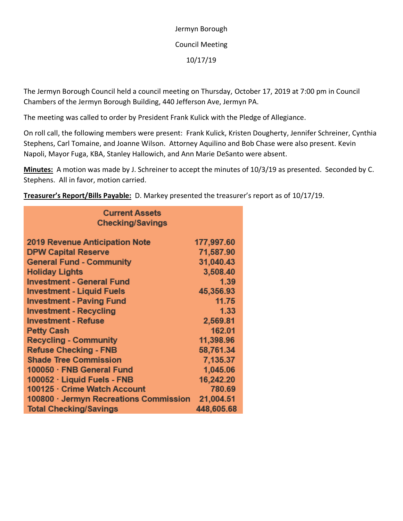Jermyn Borough Council Meeting 10/17/19

The Jermyn Borough Council held a council meeting on Thursday, October 17, 2019 at 7:00 pm in Council Chambers of the Jermyn Borough Building, 440 Jefferson Ave, Jermyn PA.

The meeting was called to order by President Frank Kulick with the Pledge of Allegiance.

On roll call, the following members were present: Frank Kulick, Kristen Dougherty, Jennifer Schreiner, Cynthia Stephens, Carl Tomaine, and Joanne Wilson. Attorney Aquilino and Bob Chase were also present. Kevin Napoli, Mayor Fuga, KBA, Stanley Hallowich, and Ann Marie DeSanto were absent.

**Minutes:** A motion was made by J. Schreiner to accept the minutes of 10/3/19 as presented. Seconded by C. Stephens. All in favor, motion carried.

**Treasurer's Report/Bills Payable:** D. Markey presented the treasurer's report as of 10/17/19.

| <b>Current Assets</b><br><b>Checking/Savings</b> |            |  |
|--------------------------------------------------|------------|--|
|                                                  |            |  |
| <b>2019 Revenue Anticipation Note</b>            | 177,997.60 |  |
| <b>DPW Capital Reserve</b>                       | 71,587.90  |  |
| <b>General Fund - Community</b>                  | 31,040.43  |  |
| <b>Holiday Lights</b>                            | 3,508.40   |  |
| <b>Investment - General Fund</b>                 | 1.39       |  |
| Investment - Liquid Fuels                        | 45,356.93  |  |
| <b>Investment - Paving Fund</b>                  | 11.75      |  |
| <b>Investment - Recycling</b>                    | 1.33       |  |
| <b>Investment - Refuse</b>                       | 2,569.81   |  |
| <b>Petty Cash</b>                                | 162.01     |  |
| <b>Recycling - Community</b>                     | 11,398.96  |  |
| <b>Refuse Checking - FNB</b>                     | 58,761.34  |  |
| <b>Shade Tree Commission</b>                     | 7,135.37   |  |
| 100050 · FNB General Fund                        | 1,045.06   |  |
| 100052 · Liquid Fuels - FNB                      | 16,242.20  |  |
| 100125 · Crime Watch Account                     | 780.69     |  |
| 100800 · Jermyn Recreations Commission           | 21,004.51  |  |
| <b>Total Checking/Savings</b>                    | 448,605.68 |  |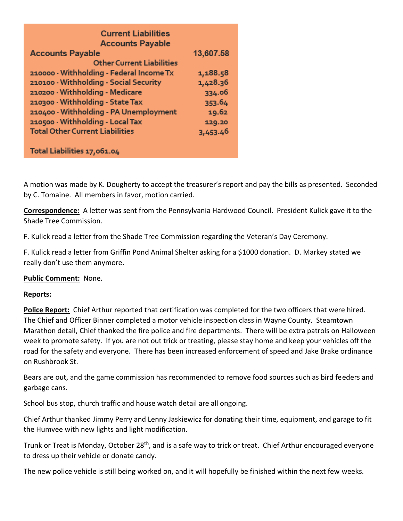| <b>Current Liabilities</b>               |           |
|------------------------------------------|-----------|
| <b>Accounts Payable</b>                  |           |
| <b>Accounts Payable</b>                  | 13,607.58 |
| <b>Other Current Liabilities</b>         |           |
| 210000 · Withholding - Federal Income Tx | 1,188.58  |
| 210100 · Withholding - Social Security   | 1,428.36  |
| 210200 - Withholding - Medicare          | 334.06    |
| 210300 · Withholding - State Tax         | 353.64    |
| 210400 · Withholding - PA Unemployment   | 19.62     |
| 210500 - Withholding - Local Tax         | 129.20    |
| <b>Total Other Current Liabilities</b>   | 3,453.46  |
| Total Liabilities 17,061.04              |           |

A motion was made by K. Dougherty to accept the treasurer's report and pay the bills as presented. Seconded by C. Tomaine. All members in favor, motion carried.

**Correspondence:** A letter was sent from the Pennsylvania Hardwood Council. President Kulick gave it to the Shade Tree Commission.

F. Kulick read a letter from the Shade Tree Commission regarding the Veteran's Day Ceremony.

F. Kulick read a letter from Griffin Pond Animal Shelter asking for a \$1000 donation. D. Markey stated we really don't use them anymore.

## **Public Comment:** None.

## **Reports:**

**Police Report:** Chief Arthur reported that certification was completed for the two officers that were hired. The Chief and Officer Binner completed a motor vehicle inspection class in Wayne County. Steamtown Marathon detail, Chief thanked the fire police and fire departments. There will be extra patrols on Halloween week to promote safety. If you are not out trick or treating, please stay home and keep your vehicles off the road for the safety and everyone. There has been increased enforcement of speed and Jake Brake ordinance on Rushbrook St.

Bears are out, and the game commission has recommended to remove food sources such as bird feeders and garbage cans.

School bus stop, church traffic and house watch detail are all ongoing.

Chief Arthur thanked Jimmy Perry and Lenny Jaskiewicz for donating their time, equipment, and garage to fit the Humvee with new lights and light modification.

Trunk or Treat is Monday, October 28<sup>th</sup>, and is a safe way to trick or treat. Chief Arthur encouraged everyone to dress up their vehicle or donate candy.

The new police vehicle is still being worked on, and it will hopefully be finished within the next few weeks.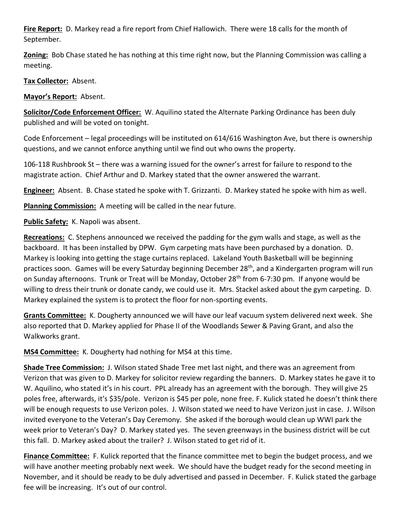**Fire Report:** D. Markey read a fire report from Chief Hallowich. There were 18 calls for the month of September.

**Zoning:** Bob Chase stated he has nothing at this time right now, but the Planning Commission was calling a meeting.

**Tax Collector:** Absent.

**Mayor's Report:** Absent.

**Solicitor/Code Enforcement Officer:** W. Aquilino stated the Alternate Parking Ordinance has been duly published and will be voted on tonight.

Code Enforcement – legal proceedings will be instituted on 614/616 Washington Ave, but there is ownership questions, and we cannot enforce anything until we find out who owns the property.

106-118 Rushbrook St – there was a warning issued for the owner's arrest for failure to respond to the magistrate action. Chief Arthur and D. Markey stated that the owner answered the warrant.

**Engineer:** Absent. B. Chase stated he spoke with T. Grizzanti. D. Markey stated he spoke with him as well.

**Planning Commission:** A meeting will be called in the near future.

**Public Safety:** K. Napoli was absent.

**Recreations:** C. Stephens announced we received the padding for the gym walls and stage, as well as the backboard. It has been installed by DPW. Gym carpeting mats have been purchased by a donation. D. Markey is looking into getting the stage curtains replaced. Lakeland Youth Basketball will be beginning practices soon. Games will be every Saturday beginning December 28<sup>th</sup>, and a Kindergarten program will run on Sunday afternoons. Trunk or Treat will be Monday, October 28<sup>th</sup> from 6-7:30 pm. If anyone would be willing to dress their trunk or donate candy, we could use it. Mrs. Stackel asked about the gym carpeting. D. Markey explained the system is to protect the floor for non-sporting events.

**Grants Committee:** K. Dougherty announced we will have our leaf vacuum system delivered next week. She also reported that D. Markey applied for Phase II of the Woodlands Sewer & Paving Grant, and also the Walkworks grant.

**MS4 Committee:** K. Dougherty had nothing for MS4 at this time.

**Shade Tree Commission:** J. Wilson stated Shade Tree met last night, and there was an agreement from Verizon that was given to D. Markey for solicitor review regarding the banners. D. Markey states he gave it to W. Aquilino, who stated it's in his court. PPL already has an agreement with the borough. They will give 25 poles free, afterwards, it's \$35/pole. Verizon is \$45 per pole, none free. F. Kulick stated he doesn't think there will be enough requests to use Verizon poles. J. Wilson stated we need to have Verizon just in case. J. Wilson invited everyone to the Veteran's Day Ceremony. She asked if the borough would clean up WWI park the week prior to Veteran's Day? D. Markey stated yes. The seven greenways in the business district will be cut this fall. D. Markey asked about the trailer? J. Wilson stated to get rid of it.

**Finance Committee:** F. Kulick reported that the finance committee met to begin the budget process, and we will have another meeting probably next week. We should have the budget ready for the second meeting in November, and it should be ready to be duly advertised and passed in December. F. Kulick stated the garbage fee will be increasing. It's out of our control.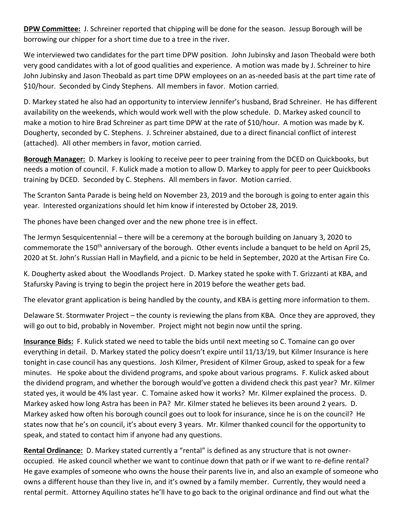**DPW Committee:** J. Schreiner reported that chipping will be done for the season. Jessup Borough will be borrowing our chipper for a short time due to a tree in the river.

We interviewed two candidates for the part time DPW position. John Jubinsky and Jason Theobald were both very good candidates with a lot of good qualities and experience. A motion was made by J. Schreiner to hire John Jubinsky and Jason Theobald as part time DPW employees on an as-needed basis at the part time rate of \$10/hour. Seconded by Cindy Stephens. All members in favor. Motion carried.

D. Markey stated he also had an opportunity to interview Jennifer's husband, Brad Schreiner. He has different availability on the weekends, which would work well with the plow schedule. D. Markey asked council to make a motion to hire Brad Schreiner as part time DPW at the rate of \$10/hour. A motion was made by K. Dougherty, seconded by C. Stephens. J. Schreiner abstained, due to a direct financial conflict of interest (attached). All other members in favor, motion carried.

**Borough Manager:** D. Markey is looking to receive peer to peer training from the DCED on Quickbooks, but needs a motion of council. F. Kulick made a motion to allow D. Markey to apply for peer to peer Quickbooks training by DCED. Seconded by C. Stephens. All members in favor. Motion carried.

The Scranton Santa Parade is being held on November 23, 2019 and the borough is going to enter again this year. Interested organizations should let him know if interested by October 28, 2019.

The phones have been changed over and the new phone tree is in effect.

The Jermyn Sesquicentennial – there will be a ceremony at the borough building on January 3, 2020 to commemorate the 150<sup>th</sup> anniversary of the borough. Other events include a banquet to be held on April 25, 2020 at St. John's Russian Hall in Mayfield, and a picnic to be held in September, 2020 at the Artisan Fire Co.

K. Dougherty asked about the Woodlands Project. D. Markey stated he spoke with T. Grizzanti at KBA, and Stafursky Paving is trying to begin the project here in 2019 before the weather gets bad.

The elevator grant application is being handled by the county, and KBA is getting more information to them.

Delaware St. Stormwater Project – the county is reviewing the plans from KBA. Once they are approved, they will go out to bid, probably in November. Project might not begin now until the spring.

**Insurance Bids:** F. Kulick stated we need to table the bids until next meeting so C. Tomaine can go over everything in detail. D. Markey stated the policy doesn't expire until 11/13/19, but Kilmer Insurance is here tonight in case council has any questions. Josh Kilmer, President of Kilmer Group, asked to speak for a few minutes. He spoke about the dividend programs, and spoke about various programs. F. Kulick asked about the dividend program, and whether the borough would've gotten a dividend check this past year? Mr. Kilmer stated yes, it would be 4% last year. C. Tomaine asked how it works? Mr. Kilmer explained the process. D. Markey asked how long Astra has been in PA? Mr. Kilmer stated he believes its been around 2 years. D. Markey asked how often his borough council goes out to look for insurance, since he is on the council? He states now that he's on council, it's about every 3 years. Mr. Kilmer thanked council for the opportunity to speak, and stated to contact him if anyone had any questions.

**Rental Ordinance:** D. Markey stated currently a "rental" is defined as any structure that is not owneroccupied. He asked council whether we want to continue down that path or if we want to re-define rental? He gave examples of someone who owns the house their parents live in, and also an example of someone who owns a different house than they live in, and it's owned by a family member. Currently, they would need a rental permit. Attorney Aquilino states he'll have to go back to the original ordinance and find out what the